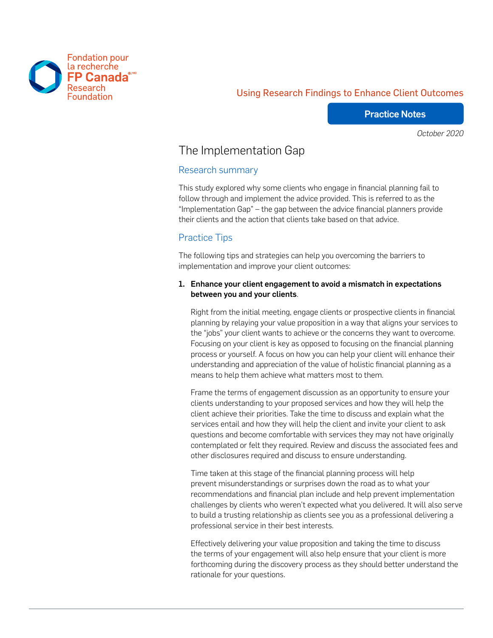

## Using Research Findings to Enhance Client Outcomes

#### Practice Notes

*October 2020*

# The Implementation Gap

#### Research summary

This study explored why some clients who engage in financial planning fail to follow through and implement the advice provided. This is referred to as the "Implementation Gap" – the gap between the advice financial planners provide their clients and the action that clients take based on that advice.

#### Practice Tips

The following tips and strategies can help you overcoming the barriers to implementation and improve your client outcomes:

#### 1. Enhance your client engagement to avoid a mismatch in expectations between you and your clients.

Right from the initial meeting, engage clients or prospective clients in financial planning by relaying your value proposition in a way that aligns your services to the "jobs" your client wants to achieve or the concerns they want to overcome. Focusing on your client is key as opposed to focusing on the financial planning process or yourself. A focus on how you can help your client will enhance their understanding and appreciation of the value of holistic financial planning as a means to help them achieve what matters most to them.

Frame the terms of engagement discussion as an opportunity to ensure your clients understanding to your proposed services and how they will help the client achieve their priorities. Take the time to discuss and explain what the services entail and how they will help the client and invite your client to ask questions and become comfortable with services they may not have originally contemplated or felt they required. Review and discuss the associated fees and other disclosures required and discuss to ensure understanding.

Time taken at this stage of the financial planning process will help prevent misunderstandings or surprises down the road as to what your recommendations and financial plan include and help prevent implementation challenges by clients who weren't expected what you delivered. It will also serve to build a trusting relationship as clients see you as a professional delivering a professional service in their best interests.

Effectively delivering your value proposition and taking the time to discuss the terms of your engagement will also help ensure that your client is more forthcoming during the discovery process as they should better understand the rationale for your questions.